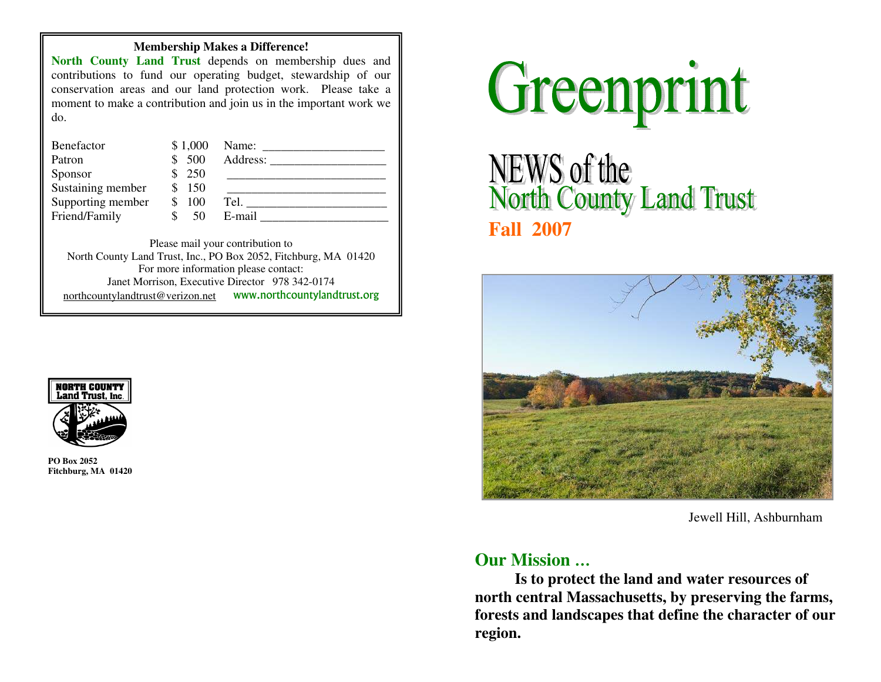#### **Membership Makes a Difference!**

**North County Land Trust** depends on membership dues and contributions to fund our operating budget, stewardship of our conservation areas and our land protection work. Please take a moment to make a contribution and join us in the important work we do.

| Benefactor        | \$1,000 | Name:    |
|-------------------|---------|----------|
| Patron            | \$500   | Address: |
| Sponsor           | 250     |          |
| Sustaining member | 150     |          |
| Supporting member | 100     | Tel.     |
| Friend/Family     |         | E-mail   |

Please mail your contribution to North County Land Trust, Inc., PO Box 2052, Fitchburg, MA 01420 For more information please contact: Janet Morrison, Executive Director 978 342-0174 northcountylandtrust@verizon.net www.northcountylandtrust.org



**PO Box 2052 Fitchburg, MA 01420** 



NEWS of the<br>North County Land Trust **Fall 2007** 



Jewell Hill, Ashburnham

# **Our Mission …**

**Is to protect the land and water resources of north central Massachusetts, by preserving the farms, forests and landscapes that define the character of our region.**